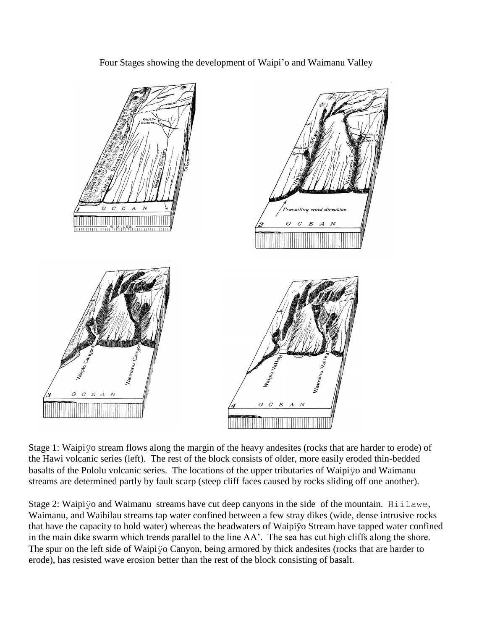

Four Stages showing the development of Waipi'o and Waimanu Valley

Stage 1: Waipiÿo stream flows along the margin of the heavy andesites (rocks that are harder to erode) of the Hawi volcanic series (left). The rest of the block consists of older, more easily eroded thin-bedded basalts of the Pololu volcanic series. The locations of the upper tributaries of Waipiÿo and Waimanu streams are determined partly by fault scarp (steep cliff faces caused by rocks sliding off one another).

Stage 2: Waipiyo and Waimanu streams have cut deep canyons in the side of the mountain. Hillawe, Waimanu, and Waihilau streams tap water confined between a few stray dikes (wide, dense intrusive rocks that have the capacity to hold water) whereas the headwaters of Waipiÿo Stream have tapped water confined in the main dike swarm which trends parallel to the line AA'. The sea has cut high cliffs along the shore. The spur on the left side of Waipiÿo Canyon, being armored by thick andesites (rocks that are harder to erode), has resisted wave erosion better than the rest of the block consisting of basalt.